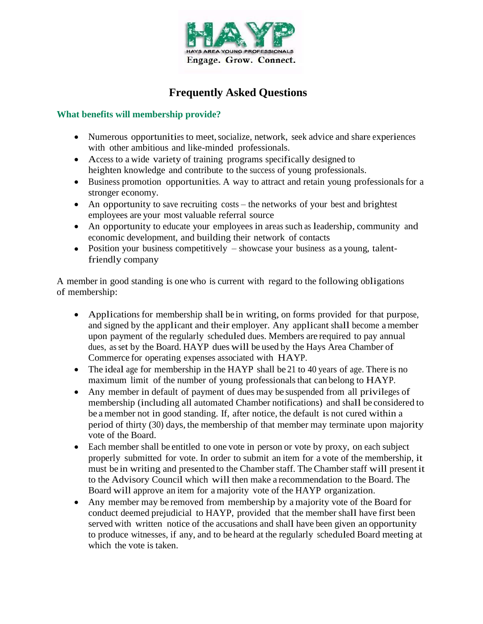

# **Frequently Asked Questions**

### **What benefits will membership provide?**

- Numerous opportunities to meet, socialize, network, seek advice and share experiences with other ambitious and like-minded professionals.
- Access to a wide variety of training programs specifically designed to heighten knowledge and contribute to the success of young professionals.
- Business promotion opportunities. A way to attract and retain young professionals for a stronger economy.
- An opportunity to save recruiting costs the networks of your best and brightest employees are your most valuable referral source
- An opportunity to educate your employees in areas such as leadership, community and economic development, and building their network of contacts
- Position your business competitively showcase your business as a young, talentfriendly company

A member in good standing is one who is current with regard to the following obligations of membership:

- Applications for membership shall be in writing, on forms provided for that purpose, and signed by the applicant and their employer. Any applicant shall become a member upon payment of the regularly scheduled dues. Members are required to pay annual dues, as set by the Board. HAYP dues will be used by the Hays Area Chamber of Commerce for operating expenses associated with HAYP.
- The ideal age for membership in the HAYP shall be 21 to 40 years of age. There is no maximum limit of the number of young professionals that can belong to HAYP.
- Any member in default of payment of dues may be suspended from all privileges of membership (including all automated Chamber notifications) and shall be considered to be a member not in good standing. If, after notice, the default is not cured within a period of thirty (30) days, the membership of that member may terminate upon majority vote of the Board.
- Each member shall be entitled to one vote in person or vote by proxy, on each subject properly submitted for vote. In order to submit an item for a vote of the membership, it must be in writing and presented to the Chamber staff. The Chamber staff will present it to the Advisory Council which will then make a recommendation to the Board. The Board will approve an item for a majority vote of the HAYP organization.
- Any member may be removed from membership by a majority vote of the Board for conduct deemed prejudicial to HAYP, provided that the member shall have first been served with written notice of the accusations and shall have been given an opportunity to produce witnesses, if any, and to be heard at the regularly scheduled Board meeting at which the vote is taken.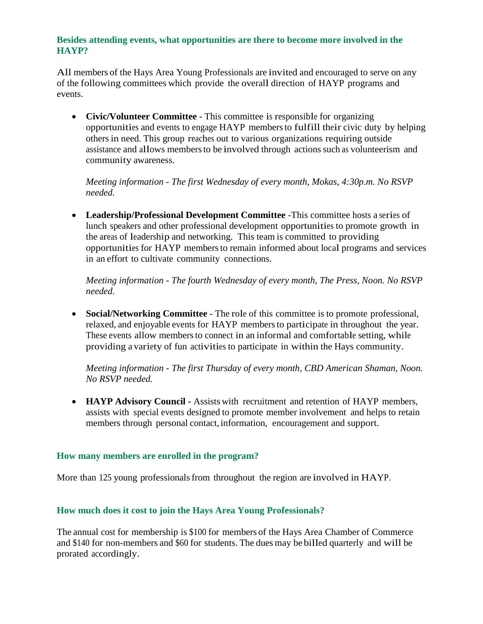### **Besides attending events, what opportunities are there to become more involved in the HAYP?**

All members of the Hays Area Young Professionals are invited and encouraged to serve on any of the following committees which provide the overall direction of HAYP programs and events.

 **Civic/Volunteer Committee** - This committee is responsible for organizing opportunities and events to engage HAYP membersto fulfill their civic duty by helping others in need. This group reaches out to various organizations requiring outside assistance and allows membersto be involved through actionssuch as volunteerism and community awareness.

*Meeting information - The first Wednesday of every month, Mokas, 4:30p.m. No RSVP needed.*

 **Leadership/Professional Development Committee** -This committee hosts a series of lunch speakers and other professional development opportunities to promote growth in the areas of leadership and networking. This team is committed to providing opportunities for HAYP membersto remain informed about local programs and services in an effort to cultivate community connections.

*Meeting information - The fourth Wednesday of every month, The Press, Noon. No RSVP needed.*

 **Social/Networking Committee** - The role of this committee is to promote professional, relaxed, and enjoyable events for HAYP membersto participate in throughout the year. These events allow membersto connect in an informal and comfortable setting, while providing a variety of fun activities to participate in within the Hays community.

*Meeting information - The first Thursday of every month, CBD American Shaman, Noon. No RSVP needed.*

 **HAYP Advisory Council -** Assists with recruitment and retention of HAYP members, assists with special events designed to promote member involvement and helps to retain members through personal contact, information, encouragement and support.

## **How many members are enrolled in the program?**

More than 125 young professionals from throughout the region are involved in HAYP.

## **How much does it cost to join the Hays Area Young Professionals?**

The annual cost for membership is \$100 for members of the Hays Area Chamber of Commerce and \$140 for non-members and \$60 for students. The dues may be billed quarterly and will be prorated accordingly.